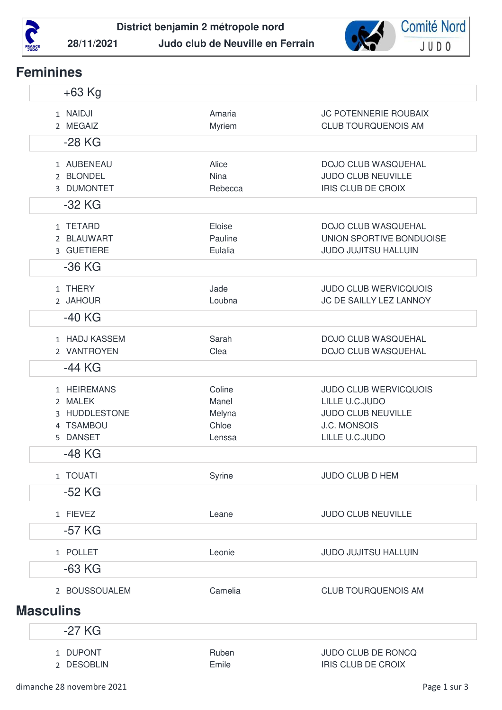



## **Feminines**

| $+63$ Kg                                                         |                                              |                                                                                                                      |
|------------------------------------------------------------------|----------------------------------------------|----------------------------------------------------------------------------------------------------------------------|
| 1 NAIDJI<br>2 MEGAIZ                                             | Amaria<br>Myriem                             | <b>JC POTENNERIE ROUBAIX</b><br><b>CLUB TOURQUENOIS AM</b>                                                           |
| $-28$ KG                                                         |                                              |                                                                                                                      |
| 1 AUBENEAU<br>2 BLONDEL<br>3 DUMONTET<br>$-32$ KG                | Alice<br><b>Nina</b><br>Rebecca              | DOJO CLUB WASQUEHAL<br>JUDO CLUB NEUVILLE<br><b>IRIS CLUB DE CROIX</b>                                               |
| 1 TETARD<br>2 BLAUWART<br>3 GUETIERE                             | Eloise<br>Pauline<br>Eulalia                 | DOJO CLUB WASQUEHAL<br>UNION SPORTIVE BONDUOISE<br><b>JUDO JUJITSU HALLUIN</b>                                       |
| $-36$ KG                                                         |                                              |                                                                                                                      |
| 1 THERY<br>2 JAHOUR                                              | Jade<br>Loubna                               | <b>JUDO CLUB WERVICQUOIS</b><br>JC DE SAILLY LEZ LANNOY                                                              |
| $-40$ KG                                                         |                                              |                                                                                                                      |
| 1 HADJ KASSEM<br>2 VANTROYEN                                     | Sarah<br>Clea                                | <b>DOJO CLUB WASQUEHAL</b><br>DOJO CLUB WASQUEHAL                                                                    |
| $-44$ KG                                                         |                                              |                                                                                                                      |
| 1 HEIREMANS<br>2 MALEK<br>3 HUDDLESTONE<br>4 TSAMBOU<br>5 DANSET | Coline<br>Manel<br>Melyna<br>Chloe<br>Lenssa | <b>JUDO CLUB WERVICQUOIS</b><br>LILLE U.C.JUDO<br><b>JUDO CLUB NEUVILLE</b><br><b>J.C. MONSOIS</b><br>LILLE U.C.JUDO |
| $-48$ KG                                                         |                                              |                                                                                                                      |
| 1 TOUATI<br>-52 KG                                               | Syrine                                       | <b>JUDO CLUB D HEM</b>                                                                                               |
| 1 FIEVEZ                                                         | Leane                                        | JUDO CLUB NEUVILLE                                                                                                   |
| $-57$ KG                                                         |                                              |                                                                                                                      |
| 1 POLLET                                                         | Leonie                                       | <b>JUDO JUJITSU HALLUIN</b>                                                                                          |
| $-63$ KG                                                         |                                              |                                                                                                                      |
| 2 BOUSSOUALEM                                                    | Camelia                                      | <b>CLUB TOURQUENOIS AM</b>                                                                                           |
| <b>Masculins</b>                                                 |                                              |                                                                                                                      |
| $-27$ KG                                                         |                                              |                                                                                                                      |
|                                                                  |                                              |                                                                                                                      |
| 1 DUPONT<br>2 DESOBLIN                                           | Ruben<br>Emile                               | JUDO CLUB DE RONCQ<br>IRIS CLUB DE CROIX                                                                             |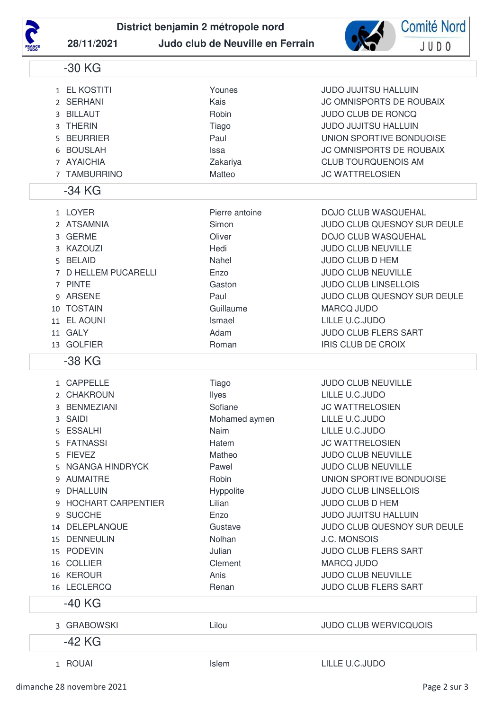

**District benjamin 2 métropole nord**



**28/11/2021 Judo club de Neuville en Ferrain**

1 EL KOSTITI Younes JUDO JUJITSU HALLUIN

-30 KG

| 3<br>5.            | 2 SERHANI<br>3 BILLAUT<br><b>THERIN</b><br><b>BEURRIER</b><br><b>BOUSLAH</b><br>7 AYAICHIA<br>7 TAMBURRINO                                                                                                                                                                                       | Kais<br>Robin<br>Tiago<br>Paul<br>Issa<br>Zakariya<br>Matteo                                                                                                                      | <b>JC OMNISPORTS DE ROUBAIX</b><br><b>JUDO CLUB DE RONCQ</b><br><b>JUDO JUJITSU HALLUIN</b><br>UNION SPORTIVE BONDUOISE<br>JC OMNISPORTS DE ROUBAIX<br><b>CLUB TOURQUENOIS AM</b><br><b>JC WATTRELOSIEN</b>                                                                                                                                                                                                                                          |
|--------------------|--------------------------------------------------------------------------------------------------------------------------------------------------------------------------------------------------------------------------------------------------------------------------------------------------|-----------------------------------------------------------------------------------------------------------------------------------------------------------------------------------|------------------------------------------------------------------------------------------------------------------------------------------------------------------------------------------------------------------------------------------------------------------------------------------------------------------------------------------------------------------------------------------------------------------------------------------------------|
|                    | $-34$ KG                                                                                                                                                                                                                                                                                         |                                                                                                                                                                                   |                                                                                                                                                                                                                                                                                                                                                                                                                                                      |
| 3<br>10            | 1 LOYER<br>2 ATSAMNIA<br><b>GERME</b><br>3 KAZOUZI<br>5 BELAID<br>7 D HELLEM PUCARELLI<br>7 PINTE<br>9 ARSENE<br><b>TOSTAIN</b><br>11 EL AOUNI<br>11 GALY<br>13 GOLFIER                                                                                                                          | Pierre antoine<br>Simon<br>Oliver<br>Hedi<br>Nahel<br>Enzo<br>Gaston<br>Paul<br>Guillaume<br>Ismael<br>Adam<br>Roman                                                              | <b>DOJO CLUB WASQUEHAL</b><br>JUDO CLUB QUESNOY SUR DEULE<br><b>DOJO CLUB WASQUEHAL</b><br><b>JUDO CLUB NEUVILLE</b><br><b>JUDO CLUB D HEM</b><br><b>JUDO CLUB NEUVILLE</b><br><b>JUDO CLUB LINSELLOIS</b><br>JUDO CLUB QUESNOY SUR DEULE<br><b>MARCQ JUDO</b><br>LILLE U.C.JUDO<br><b>JUDO CLUB FLERS SART</b><br><b>IRIS CLUB DE CROIX</b>                                                                                                         |
|                    | -38 KG                                                                                                                                                                                                                                                                                           |                                                                                                                                                                                   |                                                                                                                                                                                                                                                                                                                                                                                                                                                      |
| 5.<br>5.<br>9<br>9 | 1 CAPPELLE<br>2 CHAKROUN<br>3 BENMEZIANI<br>3 SAIDI<br><b>ESSALHI</b><br><b>FATNASSI</b><br>5 FIEVEZ<br>5 NGANGA HINDRYCK<br>9 AUMAITRE<br>DHALLUIN<br>9 HOCHART CARPENTIER<br><b>SUCCHE</b><br>14 DELEPLANQUE<br>15 DENNEULIN<br>15 PODEVIN<br>16 COLLIER<br>16 KEROUR<br>16 LECLERCQ<br>-40 KG | Tiago<br>Ilyes<br>Sofiane<br>Mohamed aymen<br>Naim<br>Hatem<br>Matheo<br>Pawel<br>Robin<br>Hyppolite<br>Lilian<br>Enzo<br>Gustave<br>Nolhan<br>Julian<br>Clement<br>Anis<br>Renan | <b>JUDO CLUB NEUVILLE</b><br>LILLE U.C.JUDO<br><b>JC WATTRELOSIEN</b><br>LILLE U.C.JUDO<br>LILLE U.C.JUDO<br><b>JC WATTRELOSIEN</b><br>JUDO CLUB NEUVILLE<br>JUDO CLUB NEUVILLE<br>UNION SPORTIVE BONDUOISE<br><b>JUDO CLUB LINSELLOIS</b><br>JUDO CLUB D HEM<br><b>JUDO JUJITSU HALLUIN</b><br>JUDO CLUB QUESNOY SUR DEULE<br><b>J.C. MONSOIS</b><br><b>JUDO CLUB FLERS SART</b><br><b>MARCQ JUDO</b><br>JUDO CLUB NEUVILLE<br>JUDO CLUB FLERS SART |
|                    | 3 GRABOWSKI                                                                                                                                                                                                                                                                                      | Lilou                                                                                                                                                                             | <b>JUDO CLUB WERVICQUOIS</b>                                                                                                                                                                                                                                                                                                                                                                                                                         |
|                    | -42 KG                                                                                                                                                                                                                                                                                           |                                                                                                                                                                                   |                                                                                                                                                                                                                                                                                                                                                                                                                                                      |
|                    | 1 ROUAI                                                                                                                                                                                                                                                                                          | Islem                                                                                                                                                                             | LILLE U.C.JUDO                                                                                                                                                                                                                                                                                                                                                                                                                                       |
|                    |                                                                                                                                                                                                                                                                                                  |                                                                                                                                                                                   |                                                                                                                                                                                                                                                                                                                                                                                                                                                      |

dimanche 28 novembre 2021 **Page 2 sur 3**